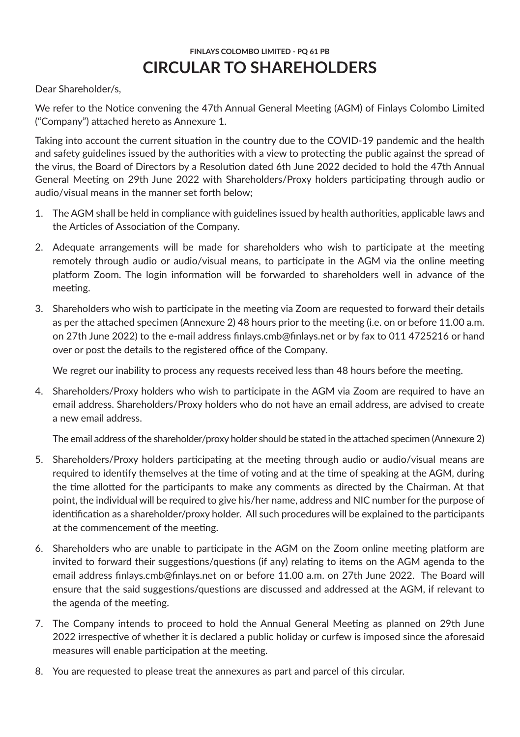# **FINLAYS COLOMBO LIMITED - PQ 61 PB CIRCULAR TO SHAREHOLDERS**

Dear Shareholder/s,

We refer to the Notice convening the 47th Annual General Meeting (AGM) of Finlays Colombo Limited ("Company") attached hereto as Annexure 1.

Taking into account the current situation in the country due to the COVID-19 pandemic and the health and safety guidelines issued by the authorities with a view to protecting the public against the spread of the virus, the Board of Directors by a Resolution dated 6th June 2022 decided to hold the 47th Annual General Meeting on 29th June 2022 with Shareholders/Proxy holders participating through audio or audio/visual means in the manner set forth below;

- 1. The AGM shall be held in compliance with guidelines issued by health authorities, applicable laws and the Articles of Association of the Company.
- 2. Adequate arrangements will be made for shareholders who wish to participate at the meeting remotely through audio or audio/visual means, to participate in the AGM via the online meeting platform Zoom. The login information will be forwarded to shareholders well in advance of the meeting.
- 3. Shareholders who wish to participate in the meeting via Zoom are requested to forward their details as per the attached specimen (Annexure 2) 48 hours prior to the meeting (i.e. on or before 11.00 a.m. on 27th June 2022) to the e-mail address finlays.cmb@finlays.net or by fax to 011 4725216 or hand over or post the details to the registered office of the Company.

We regret our inability to process any requests received less than 48 hours before the meeting.

4. Shareholders/Proxy holders who wish to participate in the AGM via Zoom are required to have an email address. Shareholders/Proxy holders who do not have an email address, are advised to create a new email address.

The email address of the shareholder/proxy holder should be stated in the attached specimen (Annexure 2)

- 5. Shareholders/Proxy holders participating at the meeting through audio or audio/visual means are required to identify themselves at the time of voting and at the time of speaking at the AGM, during the time allotted for the participants to make any comments as directed by the Chairman. At that point, the individual will be required to give his/her name, address and NIC number for the purpose of identification as a shareholder/proxy holder. All such procedures will be explained to the participants at the commencement of the meeting.
- 6. Shareholders who are unable to participate in the AGM on the Zoom online meeting platform are invited to forward their suggestions/questions (if any) relating to items on the AGM agenda to the email address finlays.cmb@finlays.net on or before 11.00 a.m. on 27th June 2022. The Board will ensure that the said suggestions/questions are discussed and addressed at the AGM, if relevant to the agenda of the meeting.
- 7. The Company intends to proceed to hold the Annual General Meeting as planned on 29th June 2022 irrespective of whether it is declared a public holiday or curfew is imposed since the aforesaid measures will enable participation at the meeting.
- 8. You are requested to please treat the annexures as part and parcel of this circular.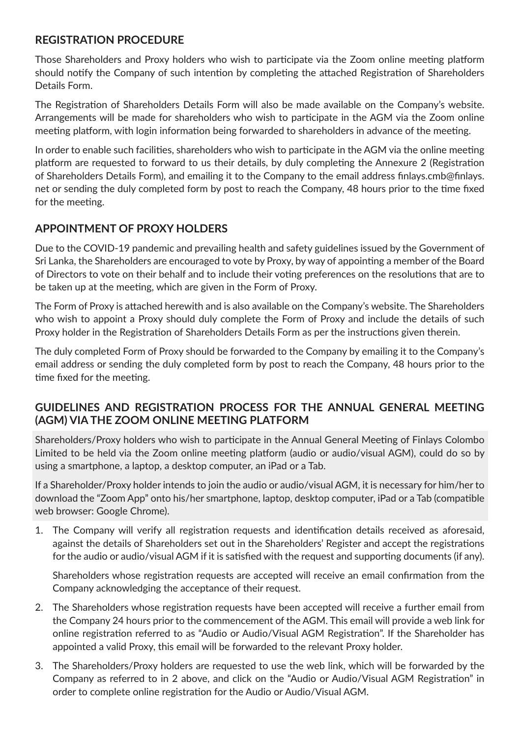## **REGISTRATION PROCEDURE**

Those Shareholders and Proxy holders who wish to participate via the Zoom online meeting platform should notify the Company of such intention by completing the attached Registration of Shareholders Details Form.

The Registration of Shareholders Details Form will also be made available on the Company's website. Arrangements will be made for shareholders who wish to participate in the AGM via the Zoom online meeting platform, with login information being forwarded to shareholders in advance of the meeting.

In order to enable such facilities, shareholders who wish to participate in the AGM via the online meeting platform are requested to forward to us their details, by duly completing the Annexure 2 (Registration of Shareholders Details Form), and emailing it to the Company to the email address finlays.cmb@finlays. net or sending the duly completed form by post to reach the Company, 48 hours prior to the time fixed for the meeting.

## **APPOINTMENT OF PROXY HOLDERS**

Due to the COVID-19 pandemic and prevailing health and safety guidelines issued by the Government of Sri Lanka, the Shareholders are encouraged to vote by Proxy, by way of appointing a member of the Board of Directors to vote on their behalf and to include their voting preferences on the resolutions that are to be taken up at the meeting, which are given in the Form of Proxy.

The Form of Proxy is attached herewith and is also available on the Company's website. The Shareholders who wish to appoint a Proxy should duly complete the Form of Proxy and include the details of such Proxy holder in the Registration of Shareholders Details Form as per the instructions given therein.

The duly completed Form of Proxy should be forwarded to the Company by emailing it to the Company's email address or sending the duly completed form by post to reach the Company, 48 hours prior to the time fixed for the meeting.

## **GUIDELINES AND REGISTRATION PROCESS FOR THE ANNUAL GENERAL MEETING (AGM) VIA THE ZOOM ONLINE MEETING PLATFORM**

Shareholders/Proxy holders who wish to participate in the Annual General Meeting of Finlays Colombo Limited to be held via the Zoom online meeting platform (audio or audio/visual AGM), could do so by using a smartphone, a laptop, a desktop computer, an iPad or a Tab.

If a Shareholder/Proxy holder intends to join the audio or audio/visual AGM, it is necessary for him/her to download the "Zoom App" onto his/her smartphone, laptop, desktop computer, iPad or a Tab (compatible web browser: Google Chrome).

1. The Company will verify all registration requests and identification details received as aforesaid, against the details of Shareholders set out in the Shareholders' Register and accept the registrations for the audio or audio/visual AGM if it is satisfied with the request and supporting documents (if any).

Shareholders whose registration requests are accepted will receive an email confirmation from the Company acknowledging the acceptance of their request.

- 2. The Shareholders whose registration requests have been accepted will receive a further email from the Company 24 hours prior to the commencement of the AGM. This email will provide a web link for online registration referred to as "Audio or Audio/Visual AGM Registration". If the Shareholder has appointed a valid Proxy, this email will be forwarded to the relevant Proxy holder.
- 3. The Shareholders/Proxy holders are requested to use the web link, which will be forwarded by the Company as referred to in 2 above, and click on the "Audio or Audio/Visual AGM Registration" in order to complete online registration for the Audio or Audio/Visual AGM.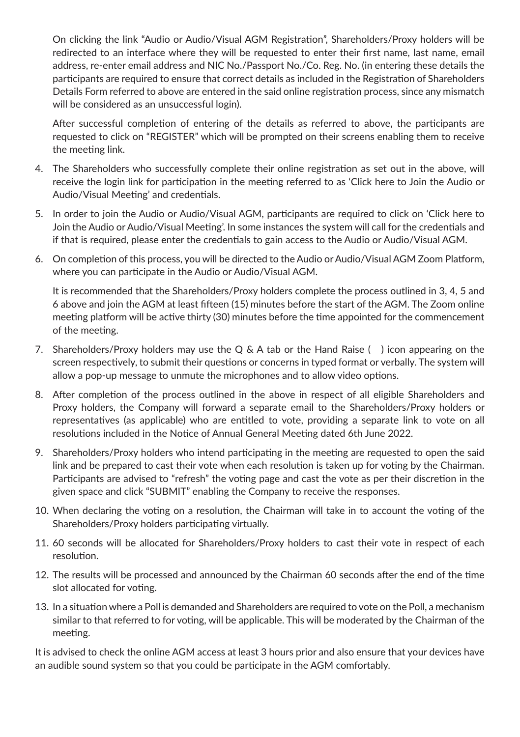On clicking the link "Audio or Audio/Visual AGM Registration", Shareholders/Proxy holders will be redirected to an interface where they will be requested to enter their first name, last name, email address, re-enter email address and NIC No./Passport No./Co. Reg. No. (in entering these details the participants are required to ensure that correct details as included in the Registration of Shareholders Details Form referred to above are entered in the said online registration process, since any mismatch will be considered as an unsuccessful login).

After successful completion of entering of the details as referred to above, the participants are requested to click on "REGISTER" which will be prompted on their screens enabling them to receive the meeting link.

- 4. The Shareholders who successfully complete their online registration as set out in the above, will receive the login link for participation in the meeting referred to as 'Click here to Join the Audio or Audio/Visual Meeting' and credentials.
- 5. In order to join the Audio or Audio/Visual AGM, participants are required to click on 'Click here to Join the Audio or Audio/Visual Meeting'. In some instances the system will call for the credentials and if that is required, please enter the credentials to gain access to the Audio or Audio/Visual AGM.
- 6. On completion of this process, you will be directed to the Audio or Audio/Visual AGM Zoom Platform, where you can participate in the Audio or Audio/Visual AGM.

It is recommended that the Shareholders/Proxy holders complete the process outlined in 3, 4, 5 and 6 above and join the AGM at least fifteen (15) minutes before the start of the AGM. The Zoom online meeting platform will be active thirty (30) minutes before the time appointed for the commencement of the meeting.

- 7. Shareholders/Proxy holders may use the Q & A tab or the Hand Raise () icon appearing on the screen respectively, to submit their questions or concerns in typed format or verbally. The system will allow a pop-up message to unmute the microphones and to allow video options.
- 8. After completion of the process outlined in the above in respect of all eligible Shareholders and Proxy holders, the Company will forward a separate email to the Shareholders/Proxy holders or representatives (as applicable) who are entitled to vote, providing a separate link to vote on all resolutions included in the Notice of Annual General Meeting dated 6th June 2022.
- 9. Shareholders/Proxy holders who intend participating in the meeting are requested to open the said link and be prepared to cast their vote when each resolution is taken up for voting by the Chairman. Participants are advised to "refresh" the voting page and cast the vote as per their discretion in the given space and click "SUBMIT" enabling the Company to receive the responses.
- 10. When declaring the voting on a resolution, the Chairman will take in to account the voting of the Shareholders/Proxy holders participating virtually.
- 11. 60 seconds will be allocated for Shareholders/Proxy holders to cast their vote in respect of each resolution.
- 12. The results will be processed and announced by the Chairman 60 seconds after the end of the time slot allocated for voting.
- 13. In a situation where a Poll is demanded and Shareholders are required to vote on the Poll, a mechanism similar to that referred to for voting, will be applicable. This will be moderated by the Chairman of the meeting.

It is advised to check the online AGM access at least 3 hours prior and also ensure that your devices have an audible sound system so that you could be participate in the AGM comfortably.